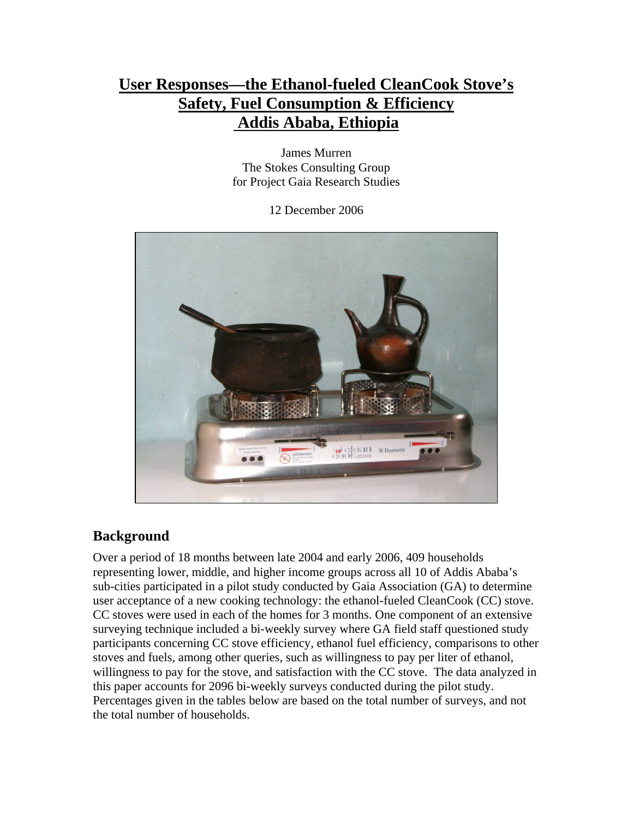# **User Responses—the Ethanol-fueled CleanCook Stove's Safety, Fuel Consumption & Efficiency Addis Ababa, Ethiopia**

James Murren The Stokes Consulting Group for Project Gaia Research Studies

12 December 2006



### **Background**

Over a period of 18 months between late 2004 and early 2006, 409 households representing lower, middle, and higher income groups across all 10 of Addis Ababa's sub-cities participated in a pilot study conducted by Gaia Association (GA) to determine user acceptance of a new cooking technology: the ethanol-fueled CleanCook (CC) stove. CC stoves were used in each of the homes for 3 months. One component of an extensive surveying technique included a bi-weekly survey where GA field staff questioned study participants concerning CC stove efficiency, ethanol fuel efficiency, comparisons to other stoves and fuels, among other queries, such as willingness to pay per liter of ethanol, willingness to pay for the stove, and satisfaction with the CC stove. The data analyzed in this paper accounts for 2096 bi-weekly surveys conducted during the pilot study. Percentages given in the tables below are based on the total number of surveys, and not the total number of households.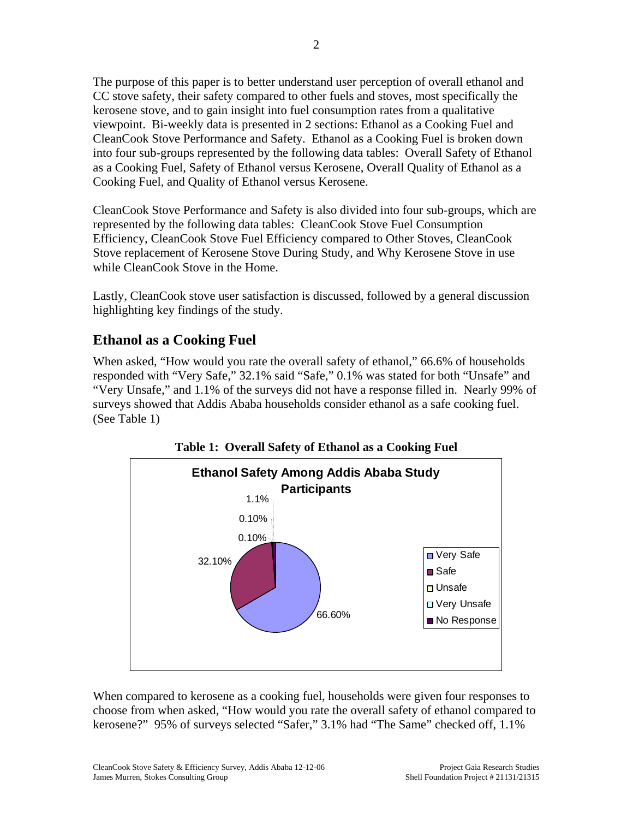The purpose of this paper is to better understand user perception of overall ethanol and CC stove safety, their safety compared to other fuels and stoves, most specifically the kerosene stove, and to gain insight into fuel consumption rates from a qualitative viewpoint. Bi-weekly data is presented in 2 sections: Ethanol as a Cooking Fuel and CleanCook Stove Performance and Safety. Ethanol as a Cooking Fuel is broken down into four sub-groups represented by the following data tables: Overall Safety of Ethanol as a Cooking Fuel, Safety of Ethanol versus Kerosene, Overall Quality of Ethanol as a Cooking Fuel, and Quality of Ethanol versus Kerosene.

CleanCook Stove Performance and Safety is also divided into four sub-groups, which are represented by the following data tables: CleanCook Stove Fuel Consumption Efficiency, CleanCook Stove Fuel Efficiency compared to Other Stoves, CleanCook Stove replacement of Kerosene Stove During Study, and Why Kerosene Stove in use while CleanCook Stove in the Home.

Lastly, CleanCook stove user satisfaction is discussed, followed by a general discussion highlighting key findings of the study.

## **Ethanol as a Cooking Fuel**

When asked, "How would you rate the overall safety of ethanol," 66.6% of households responded with "Very Safe," 32.1% said "Safe," 0.1% was stated for both "Unsafe" and "Very Unsafe," and 1.1% of the surveys did not have a response filled in. Nearly 99% of surveys showed that Addis Ababa households consider ethanol as a safe cooking fuel. (See Table 1)



**Table 1: Overall Safety of Ethanol as a Cooking Fuel** 

When compared to kerosene as a cooking fuel, households were given four responses to choose from when asked, "How would you rate the overall safety of ethanol compared to kerosene?" 95% of surveys selected "Safer," 3.1% had "The Same" checked off, 1.1%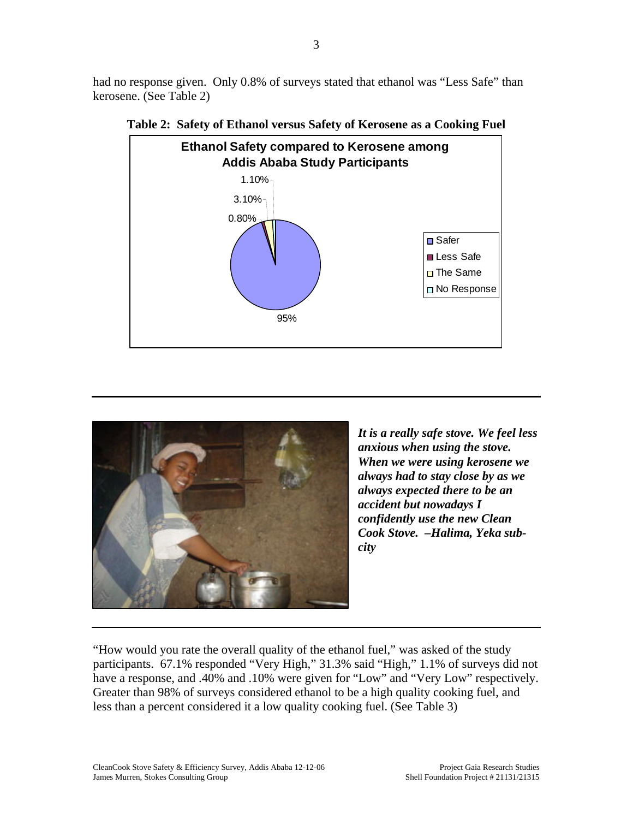had no response given. Only 0.8% of surveys stated that ethanol was "Less Safe" than kerosene. (See Table 2)



**Table 2: Safety of Ethanol versus Safety of Kerosene as a Cooking Fuel** 



*It is a really safe stove. We feel less anxious when using the stove. When we were using kerosene we always had to stay close by as we always expected there to be an accident but nowadays I confidently use the new Clean Cook Stove. –Halima, Yeka subcity*

"How would you rate the overall quality of the ethanol fuel," was asked of the study participants. 67.1% responded "Very High," 31.3% said "High," 1.1% of surveys did not have a response, and .40% and .10% were given for "Low" and "Very Low" respectively. Greater than 98% of surveys considered ethanol to be a high quality cooking fuel, and less than a percent considered it a low quality cooking fuel. (See Table 3)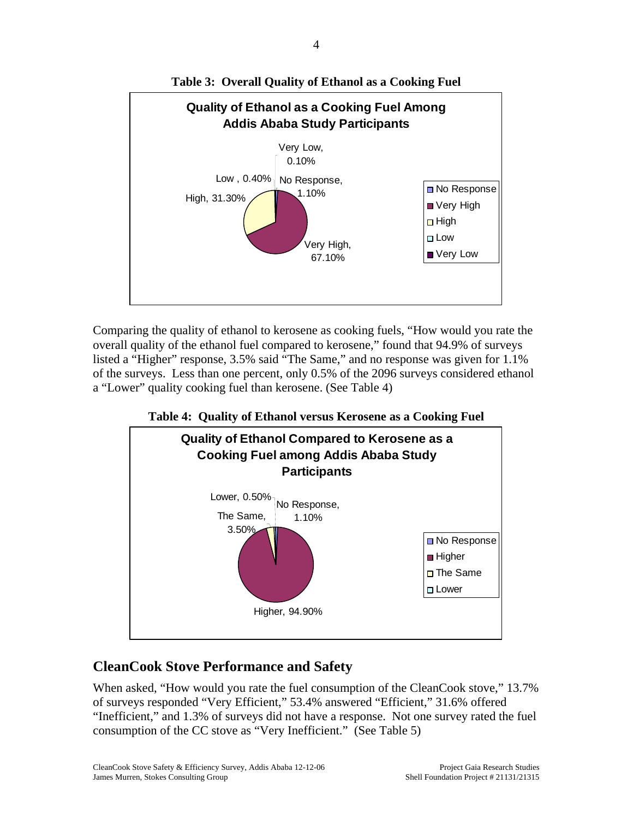

**Table 3: Overall Quality of Ethanol as a Cooking Fuel** 

Comparing the quality of ethanol to kerosene as cooking fuels, "How would you rate the overall quality of the ethanol fuel compared to kerosene," found that 94.9% of surveys listed a "Higher" response, 3.5% said "The Same," and no response was given for 1.1% of the surveys. Less than one percent, only 0.5% of the 2096 surveys considered ethanol a "Lower" quality cooking fuel than kerosene. (See Table 4)

**Table 4: Quality of Ethanol versus Kerosene as a Cooking Fuel** 



### **CleanCook Stove Performance and Safety**

When asked, "How would you rate the fuel consumption of the CleanCook stove," 13.7% of surveys responded "Very Efficient," 53.4% answered "Efficient," 31.6% offered "Inefficient," and 1.3% of surveys did not have a response. Not one survey rated the fuel consumption of the CC stove as "Very Inefficient." (See Table 5)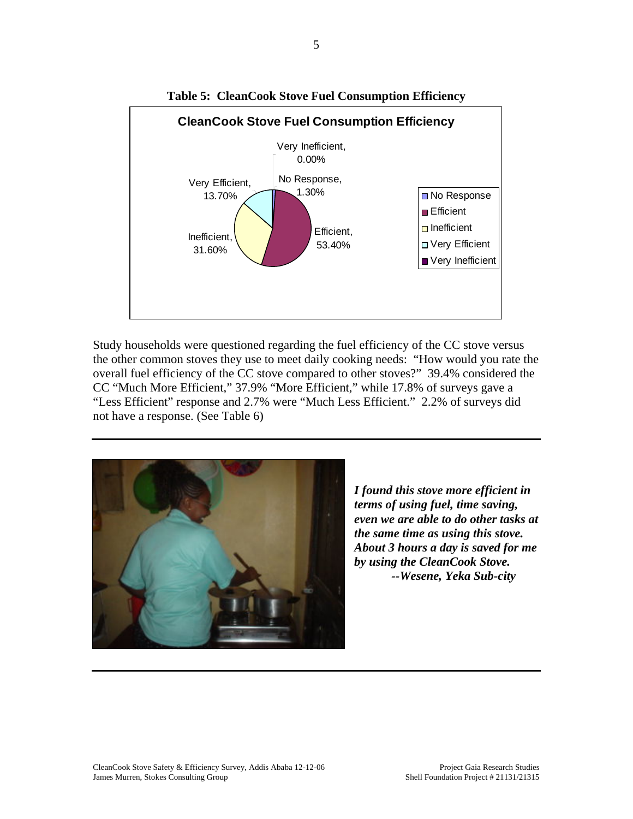

**Table 5: CleanCook Stove Fuel Consumption Efficiency** 

Study households were questioned regarding the fuel efficiency of the CC stove versus the other common stoves they use to meet daily cooking needs: "How would you rate the overall fuel efficiency of the CC stove compared to other stoves?" 39.4% considered the CC "Much More Efficient," 37.9% "More Efficient," while 17.8% of surveys gave a "Less Efficient" response and 2.7% were "Much Less Efficient." 2.2% of surveys did not have a response. (See Table 6)



*I found this stove more efficient in terms of using fuel, time saving, even we are able to do other tasks at the same time as using this stove. About 3 hours a day is saved for me by using the CleanCook Stove. --Wesene, Yeka Sub-city*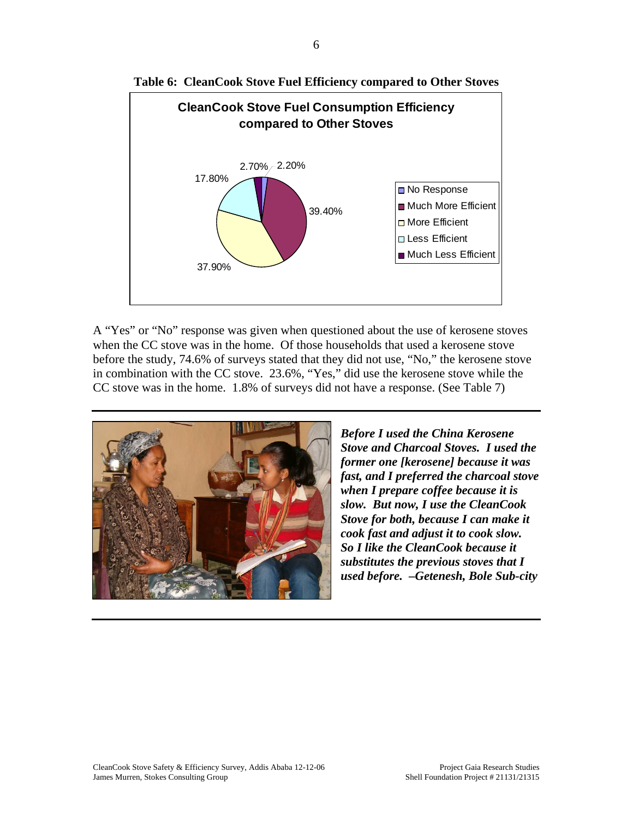



A "Yes" or "No" response was given when questioned about the use of kerosene stoves when the CC stove was in the home. Of those households that used a kerosene stove before the study, 74.6% of surveys stated that they did not use, "No," the kerosene stove in combination with the CC stove. 23.6%, "Yes," did use the kerosene stove while the CC stove was in the home. 1.8% of surveys did not have a response. (See Table 7)



*Before I used the China Kerosene Stove and Charcoal Stoves. I used the former one [kerosene] because it was fast, and I preferred the charcoal stove when I prepare coffee because it is slow. But now, I use the CleanCook Stove for both, because I can make it cook fast and adjust it to cook slow. So I like the CleanCook because it substitutes the previous stoves that I used before. –Getenesh, Bole Sub-city*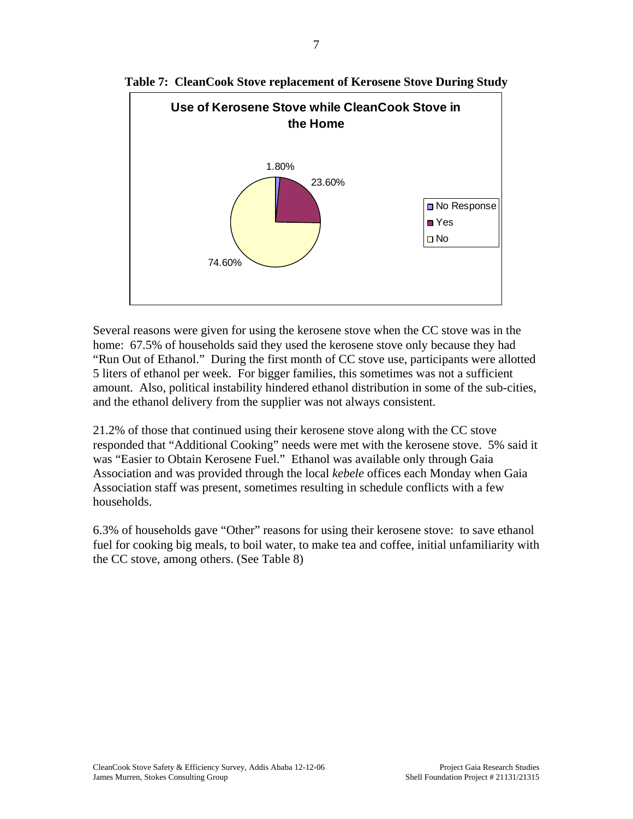

**Table 7: CleanCook Stove replacement of Kerosene Stove During Study** 

Several reasons were given for using the kerosene stove when the CC stove was in the home: 67.5% of households said they used the kerosene stove only because they had "Run Out of Ethanol." During the first month of CC stove use, participants were allotted 5 liters of ethanol per week. For bigger families, this sometimes was not a sufficient amount. Also, political instability hindered ethanol distribution in some of the sub-cities, and the ethanol delivery from the supplier was not always consistent.

21.2% of those that continued using their kerosene stove along with the CC stove responded that "Additional Cooking" needs were met with the kerosene stove. 5% said it was "Easier to Obtain Kerosene Fuel." Ethanol was available only through Gaia Association and was provided through the local *kebele* offices each Monday when Gaia Association staff was present, sometimes resulting in schedule conflicts with a few households.

6.3% of households gave "Other" reasons for using their kerosene stove: to save ethanol fuel for cooking big meals, to boil water, to make tea and coffee, initial unfamiliarity with the CC stove, among others. (See Table 8)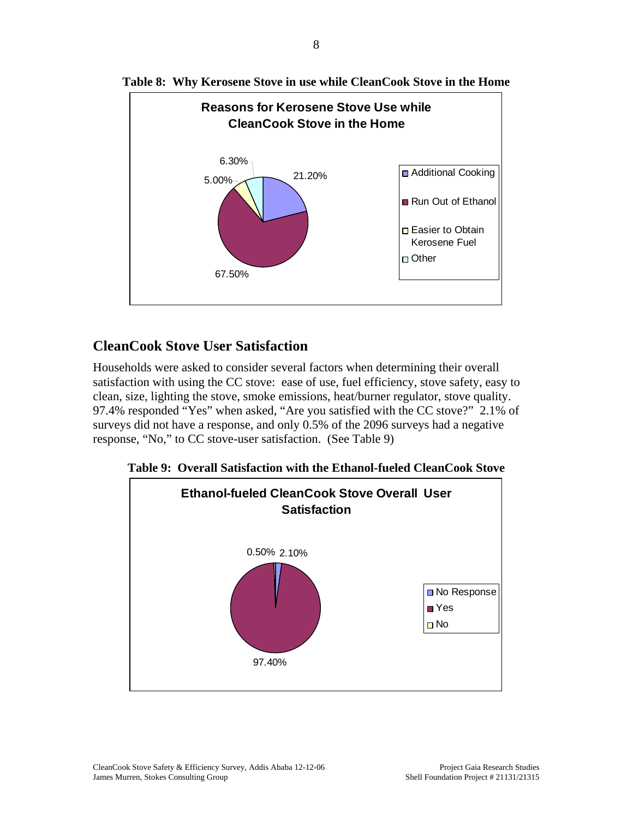



#### **CleanCook Stove User Satisfaction**

Households were asked to consider several factors when determining their overall satisfaction with using the CC stove: ease of use, fuel efficiency, stove safety, easy to clean, size, lighting the stove, smoke emissions, heat/burner regulator, stove quality. 97.4% responded "Yes" when asked, "Are you satisfied with the CC stove?" 2.1% of surveys did not have a response, and only 0.5% of the 2096 surveys had a negative response, "No," to CC stove-user satisfaction. (See Table 9)



**Table 9: Overall Satisfaction with the Ethanol-fueled CleanCook Stove**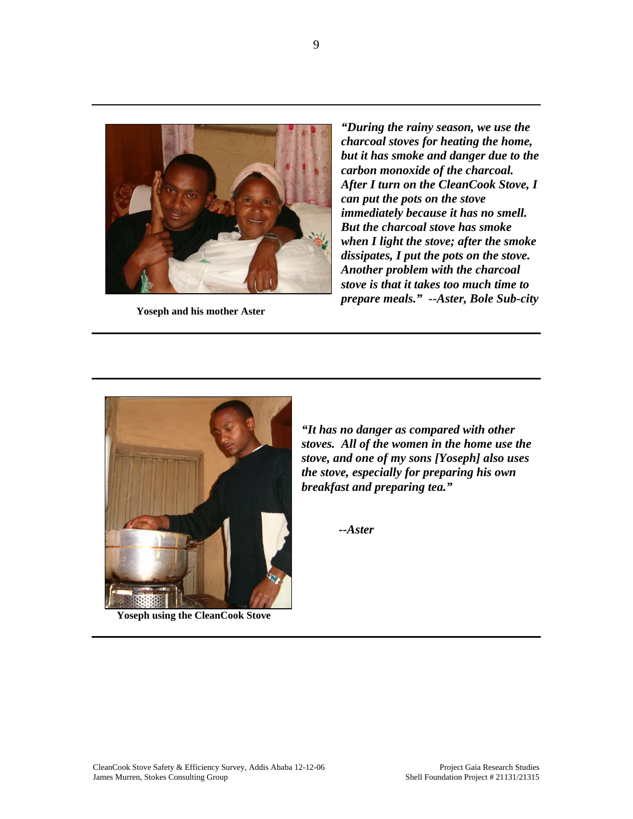

*"During the rainy season, we use the charcoal stoves for heating the home, but it has smoke and danger due to the carbon monoxide of the charcoal. After I turn on the CleanCook Stove, I can put the pots on the stove immediately because it has no smell. But the charcoal stove has smoke when I light the stove; after the smoke dissipates, I put the pots on the stove. Another problem with the charcoal stove is that it takes too much time to prepare meals.***" --Aster, Bole Sub-city Yoseph and his mother Aster** 



**Yoseph using the CleanCook Stove**

*"It has no danger as compared with other stoves. All of the women in the home use the stove, and one of my sons [Yoseph] also uses the stove, especially for preparing his own breakfast and preparing tea."* 

 *--Aster*